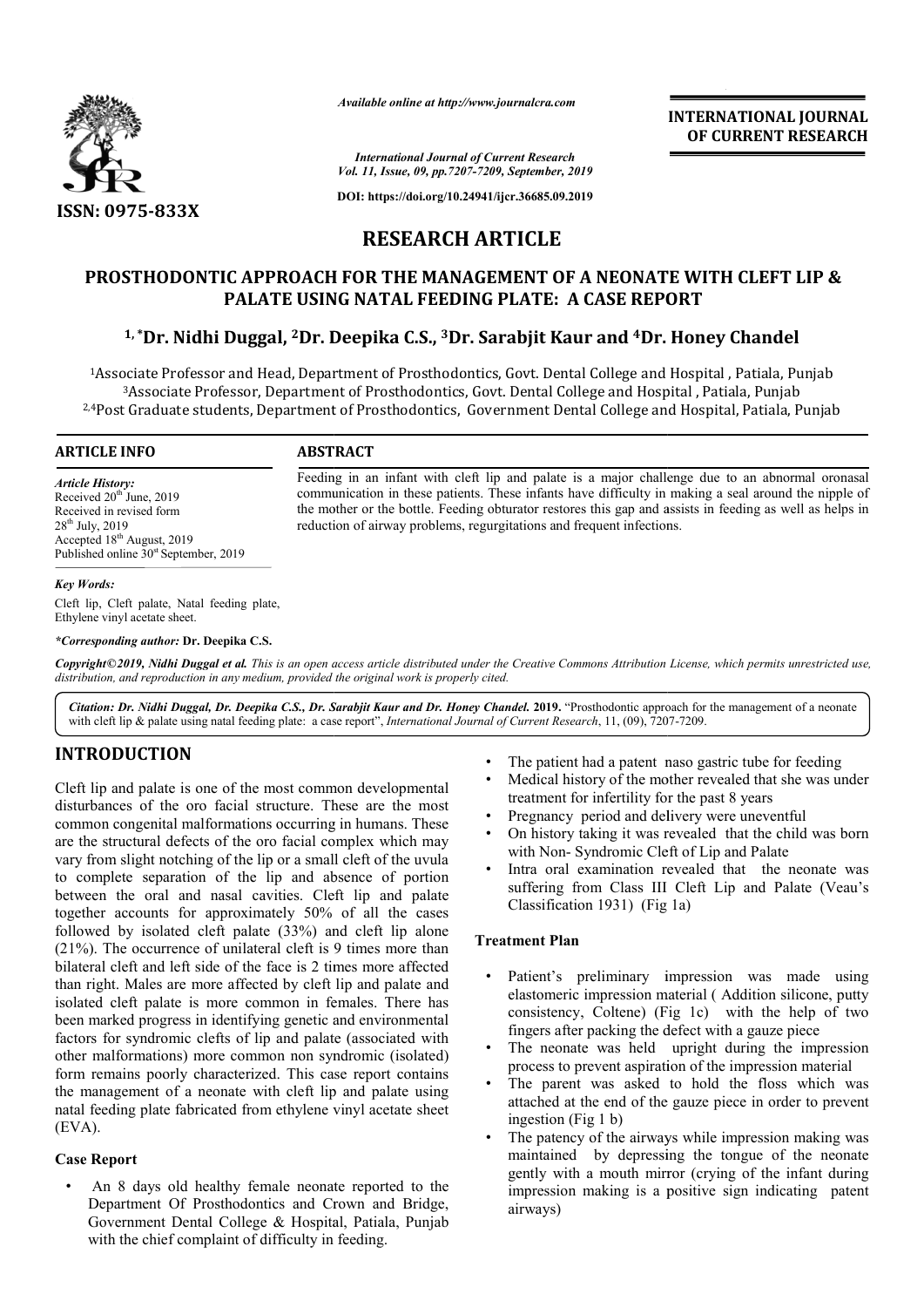

*Available online at http://www.journalcra.com*

*International Journal of Current Research Vol. 11, Issue, 09, pp.7207-7209, September, 2019*

**DOI: https://doi.org/10.24941/ijcr.36685.09.2019**

# **RESEARCH ARTICLE**

# **PROSTHODONTIC APPROACH FOR THE MANAGEMENT OF A NEONATE WITH CLEFT LIP &<br>PALATE USING NATAL FEEDING PLATE: A CASE REPORT<br><sup>1,</sup>\*Dr. Nidhi Duggal, <sup>2</sup>Dr. Deepika C.S., <sup>3</sup>Dr. Sarabjit Kaur and <sup>4</sup>Dr. Honey Chandel PALATE USING NATAL FEEDING PLATE: A CASE REPORT**

# **1, \*Dr. Nidhi Duggal, 2Dr. Deepika C. C.S., 3Dr. Sarabjit Kaur and 4Dr.**

<sup>1</sup>Associate Professor and Head, Department of Prosthodontics, Govt. Dental College and Hospital , Patiala, Punjab<br><sup>3</sup>Associate Professor, Department of Prosthodontics, Govt. Dental College and Hospital , Patiala, Punjab 2.4Post Graduate students, Department of Prosthodontics, Government Dental College and Hospital, Patiala, Punjab , Department of Prosthodontics, Govt. Dental College and Hospital , Patiala, Punjab

reduction of airway problems, regurgitations and frequent infections.

#### **ARTICLE INFO ABSTRACT**

*Article History:* Received  $20<sup>th</sup>$  June, 2019 Received in revised form  $28<sup>th</sup>$  July,  $2019$ Accepted 18<sup>th</sup> August, 2019 Published online  $30<sup>st</sup>$  September, 2019

*Key Words:*

Cleft lip, Cleft palate, Natal feeding plate, Ethylene vinyl acetate sheet.

*\*Corresponding author:* **Dr. Deepika C.S.**

Copyright©2019, Nidhi Duggal et al. This is an open access article distributed under the Creative Commons Attribution License, which permits unrestricted use, *distribution, and reproduction in any medium, provided the original work is properly cited.*

Citation: Dr. Nidhi Duggal, Dr. Deepika C.S., Dr. Sarabjit Kaur and Dr. Honey Chandel. 2019. "Prosthodontic approach for the management of a neonate with cleft lip & palate using natal feeding plate: a case report", *Inter* with cleft lip & palate using natal feeding plate: a case report", *International Journal of Current Research*, 11, (09), 7207

## **INTRODUCTION**

Cleft lip and palate is one of the most common developmental disturbances of the oro facial structure. These are the most common congenital malformations occurring in humans. These are the structural defects of the oro facial complex which may vary from slight notching of the lip or a small cleft of the uvula to complete separation of the lip and absence of portion between the oral and nasal cavities. Cleft lip and palate together accounts for approximately 50% of all the cases followed by isolated cleft palate (33%) and cleft lip alone (21%). The occurrence of unilateral cleft is 9 times more than bilateral cleft and left side of the face is 2 times more affected than right. Males are more affected by cleft lip and palate and isolated cleft palate is more common in females. There has been marked progress in identifying genetic and environmental factors for syndromic clefts of lip and palate (associated with other malformations) more common non syndromic (isolated) form remains poorly characterized. This case report contains the management of a neonate with cleft lip and palate using the management of a neonate with cleft lip and palate using<br>natal feeding plate fabricated from ethylene vinyl acetate sheet (EVA). lated cleft palate (33%) and cleft lip alone<br>rrence of unilateral cleft is 9 times more than<br>d left side of the face is 2 times more affected<br>is are more affected by cleft lip and palate and<br>late is more common in females.

#### **Case Report**

• An 8 days old healthy female neonate reported to the Department Of Prosthodontics and Crown and Bridge, Government Dental College & Hospital, Patiala, Punjab with the chief complaint of difficulty in feeding.

- The patient had a patent naso gastric tube for feeding
- Medical history of the mother revealed that she was under treatment for infertility for the past 8 years
- Pregnancy period and delivery were uneventful

Feeding in an infant with cleft lip and palate is a major challenge due to an abnormal oronasal communication in these patients. These infants have difficulty in making a seal around the nipple of the mother or the bottle. Feeding obturator restores this gap and assists in feeding as well as helps in

Feeding in an infant with cleft lip and palate is a major challenge due to an abnormal oronasal communication in these patients. These infants have difficulty in making a seal around the nipple of the mother or the bottle.

- On history taking it was revealed that the child was born with Non- Syndromic Cleft of Lip and Palate
- Intra oral examination revealed that the neonate was suffering from Class III Cleft Lip and Palate (Veau's Classification 1931) (Fig 1 (Fig 1a) The patient had a patent naso gastric tube for feeding<br>Medical history of the mother revealed that she was under<br>treatment for infertility for the past 8 years<br>Pregnancy period and delivery were uneventful<br>On history takin

#### **Treatment Plan**

- Patient's preliminary impression was made using elastomeric impression material (Addition silicone, putty consistency, Coltene) (Fig 1c) with the help of two consistency, Coltene) (Fig 1c) with the help fingers after packing the defect with a gauze piece
- The neonate was held upright during the impression process to prevent aspiration of the impression material
- The parent was asked to hold the floss which was attached at the end of the gauze piece ingestion (Fig 1 b) The neonate was held upright during the impression process to prevent aspiration of the impression material<br>The parent was asked to hold the floss which was attached at the end of the gauze piece in order to prevent
- The patency of the airways while impression making was maintained by depressing the tongue of the neonate The patency of the airways while impression making was maintained by depressing the tongue of the neonate gently with a mouth mirror (crying of the infant during impression making is a positive sign indicating patent airways)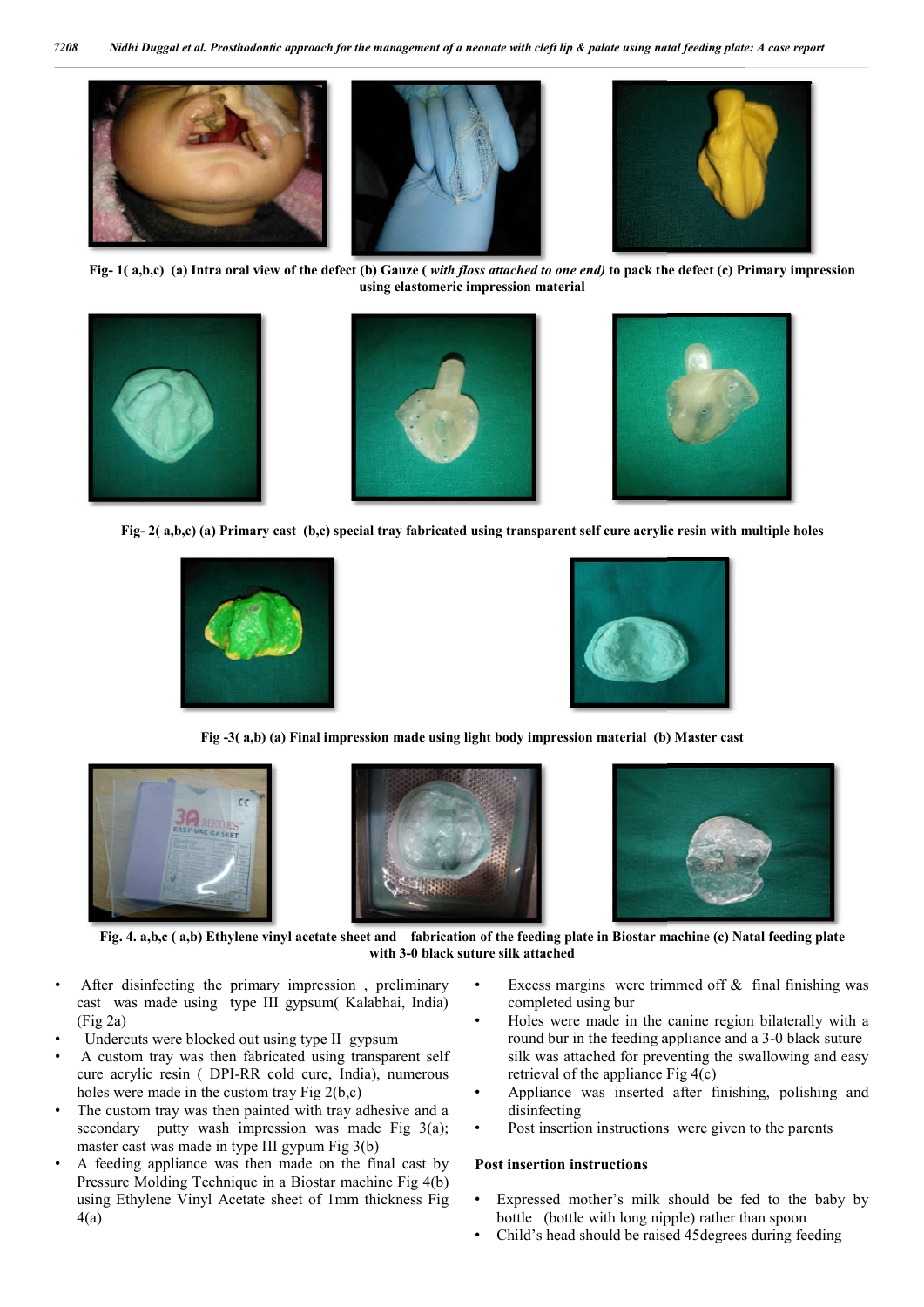

**Fig- 1( a,b,c) (a) Intra oral view of the defect (b) Gauze (** *with floss attached to one end)* **to pack the defect (c) Primary impression using elastomeric impression material**



**Fig- 2( a,b,c) (a) Primary cast (b,c) special tray fabricated using transparent self cure acrylic resin with multiple holes**





**Fig -3( a,b) (a) Final impression made using light body impression material (b) Master cast**







**Fig. 4. a,b,c ( a,b) Ethylene vinyl acetate sheet and fabrication of the feeding plate in Biostar machine (c) Natal feeding plate with 3-0 black suture silk attached**

- After disinfecting the primary impression, preliminary cast was made using type III gypsum( Kalabhai, India) (Fig 2a)
- Undercuts were blocked out using type II gypsum
- A custom tray was then fabricated using transparent self cure acrylic resin ( DPI-RR cold cure, India), numerous holes were made in the custom tray Fig 2(b,c) % cure acrylic resin ( DPI-RR cold cure, India), numerous<br>holes were made in the custom tray Fig  $2(b,c)$ <br>The custom tray was then painted with tray adhesive and a
- secondary putty wash impression was made Fig 3(a); master cast was made in type III gypum Fig 3(b)
- A feeding appliance was then made on the final cast by Pressure Molding Technique in a Biostar machine Fig 4(b) using Ethylene Vinyl Acetate sheet of 1mm thickness Fig 4(a)
- completed using bur s margins were trimmed off  $\&$  final finishing was seted using bur<br>were made in the canine region bilaterally with a<br>bur in the feeding appliance and a 3-0 black suture
- Ferrich excess margins were trimmed off & final finishing was<br>
Eyopsum (Kalabhai, India)<br>
ing type II gypsum<br>
ing type II gypsum<br>
completed using bur<br>
completed using bur<br>
completed using bur<br>
completed using bur<br>
complet • Holes were made in the canine region bilaterally with a round bur in the feeding appliance and a 3-0 black suture silk was attached for preventing the swallowing and easy retrieval of the appliance  $Fig 4(c)$ retrieval of the appliance Fig 4(c)
	- Appliance was inserted after finishing, polishing and disinfecting
	- Post insertion instructions were given to the parents

#### **Post insertion instructions**

- Expressed mother's milk should be fed to the baby by bottle (bottle with long nipple) rather than spoon
- Child's head should be raised 45degrees during feeding